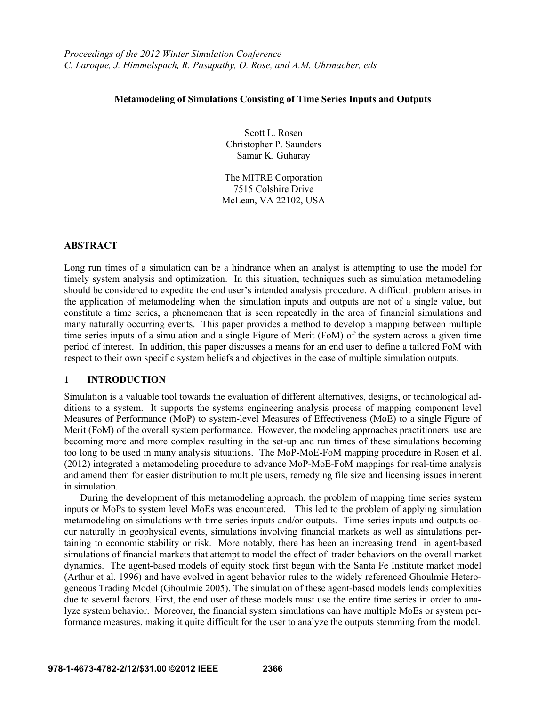## **Metamodeling of Simulations Consisting of Time Series Inputs and Outputs**

Scott L. Rosen Christopher P. Saunders Samar K. Guharay

The MITRE Corporation 7515 Colshire Drive McLean, VA 22102, USA

# **ABSTRACT**

Long run times of a simulation can be a hindrance when an analyst is attempting to use the model for timely system analysis and optimization. In this situation, techniques such as simulation metamodeling should be considered to expedite the end user's intended analysis procedure. A difficult problem arises in the application of metamodeling when the simulation inputs and outputs are not of a single value, but constitute a time series, a phenomenon that is seen repeatedly in the area of financial simulations and many naturally occurring events. This paper provides a method to develop a mapping between multiple time series inputs of a simulation and a single Figure of Merit (FoM) of the system across a given time period of interest. In addition, this paper discusses a means for an end user to define a tailored FoM with respect to their own specific system beliefs and objectives in the case of multiple simulation outputs.

# **1 INTRODUCTION**

Simulation is a valuable tool towards the evaluation of different alternatives, designs, or technological additions to a system. It supports the systems engineering analysis process of mapping component level Measures of Performance (MoP) to system-level Measures of Effectiveness (MoE) to a single Figure of Merit (FoM) of the overall system performance. However, the modeling approaches practitioners use are becoming more and more complex resulting in the set-up and run times of these simulations becoming too long to be used in many analysis situations. The MoP-MoE-FoM mapping procedure in Rosen et al. (2012) integrated a metamodeling procedure to advance MoP-MoE-FoM mappings for real-time analysis and amend them for easier distribution to multiple users, remedying file size and licensing issues inherent in simulation.

During the development of this metamodeling approach, the problem of mapping time series system inputs or MoPs to system level MoEs was encountered. This led to the problem of applying simulation metamodeling on simulations with time series inputs and/or outputs. Time series inputs and outputs occur naturally in geophysical events, simulations involving financial markets as well as simulations pertaining to economic stability or risk. More notably, there has been an increasing trend in agent-based simulations of financial markets that attempt to model the effect of trader behaviors on the overall market dynamics. The agent-based models of equity stock first began with the Santa Fe Institute market model (Arthur et al. 1996) and have evolved in agent behavior rules to the widely referenced Ghoulmie Heterogeneous Trading Model (Ghoulmie 2005). The simulation of these agent-based models lends complexities due to several factors. First, the end user of these models must use the entire time series in order to analyze system behavior. Moreover, the financial system simulations can have multiple MoEs or system performance measures, making it quite difficult for the user to analyze the outputs stemming from the model.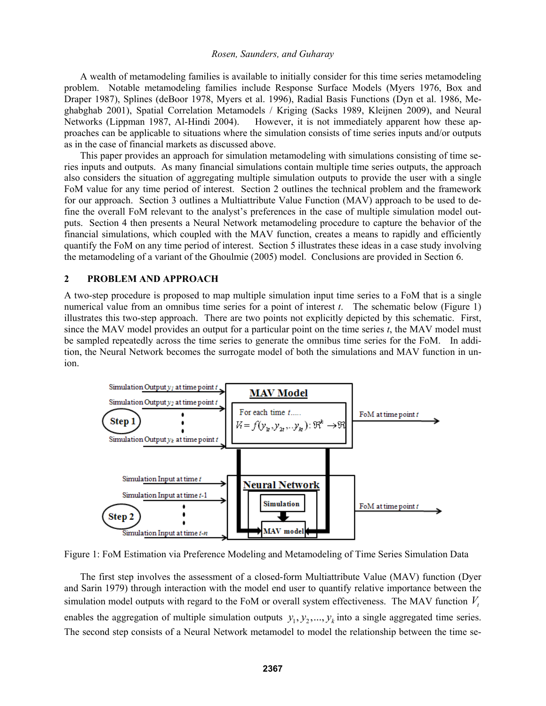A wealth of metamodeling families is available to initially consider for this time series metamodeling problem. Notable metamodeling families include Response Surface Models (Myers 1976, Box and Draper 1987), Splines (deBoor 1978, Myers et al. 1996), Radial Basis Functions (Dyn et al. 1986, Meghabghab 2001), Spatial Correlation Metamodels / Kriging (Sacks 1989, Kleijnen 2009), and Neural Networks (Lippman 1987, Al-Hindi 2004). However, it is not immediately apparent how these approaches can be applicable to situations where the simulation consists of time series inputs and/or outputs as in the case of financial markets as discussed above.

 This paper provides an approach for simulation metamodeling with simulations consisting of time series inputs and outputs. As many financial simulations contain multiple time series outputs, the approach also considers the situation of aggregating multiple simulation outputs to provide the user with a single FoM value for any time period of interest. Section 2 outlines the technical problem and the framework for our approach. Section 3 outlines a Multiattribute Value Function (MAV) approach to be used to define the overall FoM relevant to the analyst's preferences in the case of multiple simulation model outputs. Section 4 then presents a Neural Network metamodeling procedure to capture the behavior of the financial simulations, which coupled with the MAV function, creates a means to rapidly and efficiently quantify the FoM on any time period of interest. Section 5 illustrates these ideas in a case study involving the metamodeling of a variant of the Ghoulmie (2005) model. Conclusions are provided in Section 6.

# **2 PROBLEM AND APPROACH**

A two-step procedure is proposed to map multiple simulation input time series to a FoM that is a single numerical value from an omnibus time series for a point of interest *t*. The schematic below (Figure 1) illustrates this two-step approach. There are two points not explicitly depicted by this schematic. First, since the MAV model provides an output for a particular point on the time series *t*, the MAV model must be sampled repeatedly across the time series to generate the omnibus time series for the FoM. In addition, the Neural Network becomes the surrogate model of both the simulations and MAV function in union.



Figure 1: FoM Estimation via Preference Modeling and Metamodeling of Time Series Simulation Data

 The first step involves the assessment of a closed-form Multiattribute Value (MAV) function (Dyer and Sarin 1979) through interaction with the model end user to quantify relative importance between the simulation model outputs with regard to the FoM or overall system effectiveness. The MAV function  $V<sub>t</sub>$ enables the aggregation of multiple simulation outputs  $y_1, y_2, ..., y_k$  into a single aggregated time series. The second step consists of a Neural Network metamodel to model the relationship between the time se-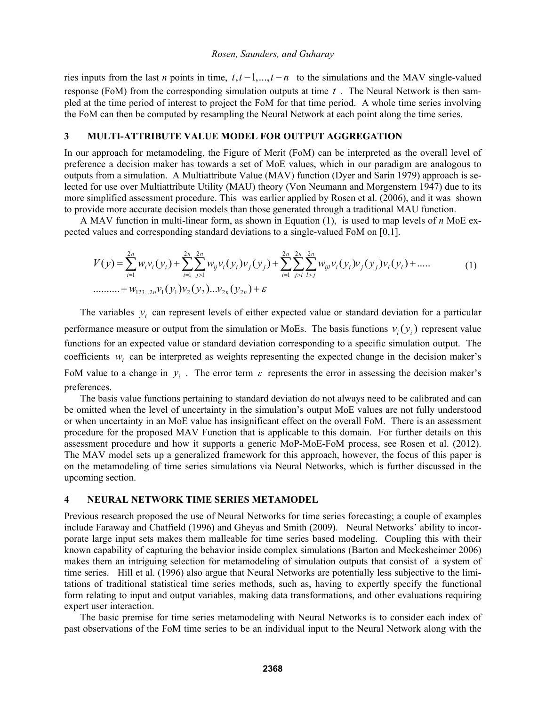ries inputs from the last *n* points in time,  $t, t-1, \ldots, t-n$  to the simulations and the MAV single-valued response (FoM) from the corresponding simulation outputs at time *t* . The Neural Network is then sampled at the time period of interest to project the FoM for that time period. A whole time series involving the FoM can then be computed by resampling the Neural Network at each point along the time series.

## **3 MULTI-ATTRIBUTE VALUE MODEL FOR OUTPUT AGGREGATION**

In our approach for metamodeling, the Figure of Merit (FoM) can be interpreted as the overall level of preference a decision maker has towards a set of MoE values, which in our paradigm are analogous to outputs from a simulation. A Multiattribute Value (MAV) function (Dyer and Sarin 1979) approach is selected for use over Multiattribute Utility (MAU) theory (Von Neumann and Morgenstern 1947) due to its more simplified assessment procedure. This was earlier applied by Rosen et al. (2006), and it was shown to provide more accurate decision models than those generated through a traditional MAU function.

 A MAV function in multi-linear form, as shown in Equation (1), is used to map levels of *n* MoE expected values and corresponding standard deviations to a single-valued FoM on [0,1].

$$
V(y) = \sum_{i=1}^{2n} w_i v_i(y_i) + \sum_{i=1}^{2n} \sum_{j>1}^{2n} w_{ij} v_i(y_i) v_j(y_j) + \sum_{i=1}^{2n} \sum_{j>i}^{2n} \sum_{l>j}^{2n} w_{ijl} v_i(y_i) v_j(y_j) v_l(y_l) + \dots
$$
  
\n
$$
\dots \dots + w_{123\ldots 2n} v_1(y_1) v_2(y_2) \dots v_{2n}(y_{2n}) + \varepsilon
$$
 (1)

The variables  $y_i$  can represent levels of either expected value or standard deviation for a particular performance measure or output from the simulation or MoEs. The basis functions  $v_i(v_i)$  represent value functions for an expected value or standard deviation corresponding to a specific simulation output. The coefficients  $w_i$  can be interpreted as weights representing the expected change in the decision maker's

FoM value to a change in  $y_i$ . The error term  $\varepsilon$  represents the error in assessing the decision maker's preferences.

 The basis value functions pertaining to standard deviation do not always need to be calibrated and can be omitted when the level of uncertainty in the simulation's output MoE values are not fully understood or when uncertainty in an MoE value has insignificant effect on the overall FoM. There is an assessment procedure for the proposed MAV Function that is applicable to this domain. For further details on this assessment procedure and how it supports a generic MoP-MoE-FoM process, see Rosen et al. (2012). The MAV model sets up a generalized framework for this approach, however, the focus of this paper is on the metamodeling of time series simulations via Neural Networks, which is further discussed in the upcoming section.

## **4 NEURAL NETWORK TIME SERIES METAMODEL**

Previous research proposed the use of Neural Networks for time series forecasting; a couple of examples include Faraway and Chatfield (1996) and Gheyas and Smith (2009). Neural Networks' ability to incorporate large input sets makes them malleable for time series based modeling. Coupling this with their known capability of capturing the behavior inside complex simulations (Barton and Meckesheimer 2006) makes them an intriguing selection for metamodeling of simulation outputs that consist of a system of time series. Hill et al. (1996) also argue that Neural Networks are potentially less subjective to the limitations of traditional statistical time series methods, such as, having to expertly specify the functional form relating to input and output variables, making data transformations, and other evaluations requiring expert user interaction.

The basic premise for time series metamodeling with Neural Networks is to consider each index of past observations of the FoM time series to be an individual input to the Neural Network along with the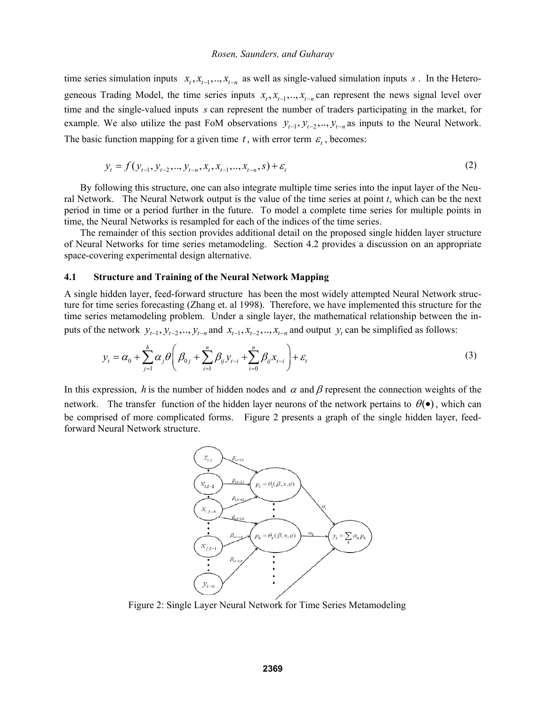time series simulation inputs  $x_t, x_{t-1}, \ldots, x_{t-n}$  as well as single-valued simulation inputs *s*. In the Heterogeneous Trading Model, the time series inputs  $x_t$ ,  $x_{t-1}$ ,  $x_{t-n}$  can represent the news signal level over time and the single-valued inputs *s* can represent the number of traders participating in the market, for example. We also utilize the past FoM observations  $y_{t-1}, y_{t-2}, \ldots, y_{t-n}$  as inputs to the Neural Network. The basic function mapping for a given time  $t$ , with error term  $\varepsilon$ , becomes:

$$
y_t = f(y_{t-1}, y_{t-2}, \dots, y_{t-n}, x_t, x_{t-1}, \dots, x_{t-n}, s) + \varepsilon_t
$$
\n<sup>(2)</sup>

 By following this structure, one can also integrate multiple time series into the input layer of the Neural Network. The Neural Network output is the value of the time series at point *t*, which can be the next period in time or a period further in the future. To model a complete time series for multiple points in time, the Neural Networks is resampled for each of the indices of the time series.

 The remainder of this section provides additional detail on the proposed single hidden layer structure of Neural Networks for time series metamodeling. Section 4.2 provides a discussion on an appropriate space-covering experimental design alternative.

### **4.1 Structure and Training of the Neural Network Mapping**

A single hidden layer, feed-forward structure has been the most widely attempted Neural Network structure for time series forecasting (Zhang et. al 1998). Therefore, we have implemented this structure for the time series metamodeling problem. Under a single layer, the mathematical relationship between the inputs of the network  $y_{t-1}, y_{t-2}, \ldots, y_{t-n}$  and  $x_{t-1}, x_{t-2}, \ldots, x_{t-n}$  and output  $y_t$  can be simplified as follows:

$$
y_{t} = \alpha_{0} + \sum_{j=1}^{h} \alpha_{j} \theta \left( \beta_{0j} + \sum_{i=1}^{n} \beta_{ij} y_{t-i} + \sum_{i=0}^{n} \beta_{ij} x_{t-i} \right) + \varepsilon_{t}
$$
(3)

In this expression, *h* is the number of hidden nodes and  $\alpha$  and  $\beta$  represent the connection weights of the network. The transfer function of the hidden layer neurons of the network pertains to  $\theta(\bullet)$ , which can be comprised of more complicated forms. Figure 2 presents a graph of the single hidden layer, feedforward Neural Network structure.



Figure 2: Single Layer Neural Network for Time Series Metamodeling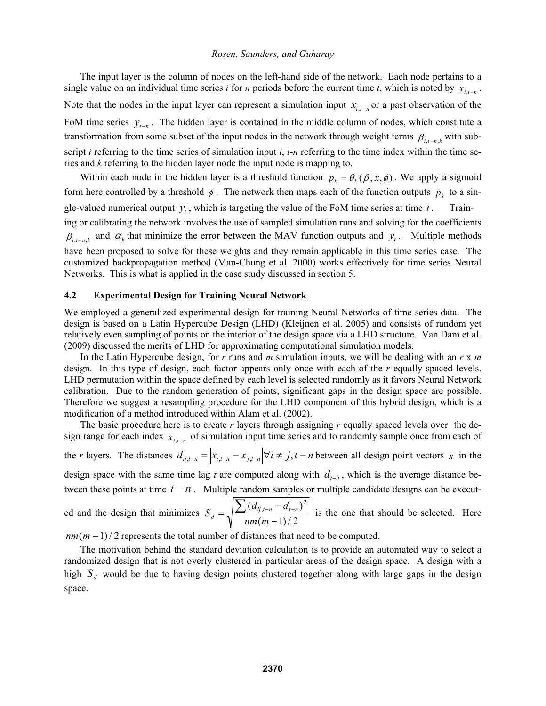The input layer is the column of nodes on the left-hand side of the network. Each node pertains to a single value on an individual time series *i* for *n* periods before the current time *t*, which is noted by  $x_i$ ,  $n = n$ . Note that the nodes in the input layer can represent a simulation input  $x_{i,t-n}$  or a past observation of the FoM time series  $y_{t-n}$ . The hidden layer is contained in the middle column of nodes, which constitute a transformation from some subset of the input nodes in the network through weight terms  $\beta_{i,t-n,k}$  with subscript *i* referring to the time series of simulation input *i*,  $t$ -*n* referring to the time index within the time series and *k* referring to the hidden layer node the input node is mapping to.

Within each node in the hidden layer is a threshold function  $p_k = \theta_k(\beta, x, \phi)$ . We apply a sigmoid form here controlled by a threshold  $\phi$ . The network then maps each of the function outputs  $p_k$  to a single-valued numerical output  $y_t$ , which is targeting the value of the FoM time series at time  $t$ . Training or calibrating the network involves the use of sampled simulation runs and solving for the coefficients  $\beta_{i,t-n,k}$  and  $\alpha_k$  that minimize the error between the MAV function outputs and  $y_t$ . Multiple methods have been proposed to solve for these weights and they remain applicable in this time series case. The customized backpropagation method (Man-Chung et al. 2000) works effectively for time series Neural Networks. This is what is applied in the case study discussed in section 5.

## **4.2 Experimental Design for Training Neural Network**

We employed a generalized experimental design for training Neural Networks of time series data. The design is based on a Latin Hypercube Design (LHD) (Kleijnen et al. 2005) and consists of random yet relatively even sampling of points on the interior of the design space via a LHD structure. Van Dam et al. (2009) discussed the merits of LHD for approximating computational simulation models.

 In the Latin Hypercube design, for *r* runs and *m* simulation inputs, we will be dealing with an *r* x *m*  design. In this type of design, each factor appears only once with each of the *r* equally spaced levels. LHD permutation within the space defined by each level is selected randomly as it favors Neural Network calibration. Due to the random generation of points, significant gaps in the design space are possible. Therefore we suggest a resampling procedure for the LHD component of this hybrid design, which is a modification of a method introduced within Alam et al. (2002).

 The basic procedure here is to create *r* layers through assigning *r* equally spaced levels over the design range for each index  $x_{i,t}$  of simulation input time series and to randomly sample once from each of the *r* layers. The distances  $d_{ij,t-n} = |x_{i,t-n} - x_{j,t-n}| \forall i \neq j, t-n$  between all design point vectors *x* in the design space with the same time lag *t* are computed along with  $\overline{d}_{t-n}$ , which is the average distance between these points at time  $t - n$ . Multiple random samples or multiple candidate designs can be executed and the design that minimizes  $S_d = \sqrt{\frac{\sum (x_i y_i - n)^2 (1 - n)^2}{n m (m-1)/2}}$  $(d_{i_{i_{t}-n}} - \overline{d}_{i_{t}-n})^{2}$ ,  $\overline{\phantom{a}}$  $=\sqrt{\frac{\sum (d_{ij,t-n}-\overline{d}_{t-})^2}{(d_{ij,t-n}-\overline{d}_{t-})^2}}$ *nm m*  $S_d = \sqrt{\frac{\sum (d_{ij,t-n} - d_{t-n})^2}{(d_{ij,t-n} - d_{t-n})^2}}$  is the one that should be selected. Here

 $nm(m-1)/2$  represents the total number of distances that need to be computed.

 The motivation behind the standard deviation calculation is to provide an automated way to select a randomized design that is not overly clustered in particular areas of the design space. A design with a high  $S_d$  would be due to having design points clustered together along with large gaps in the design space.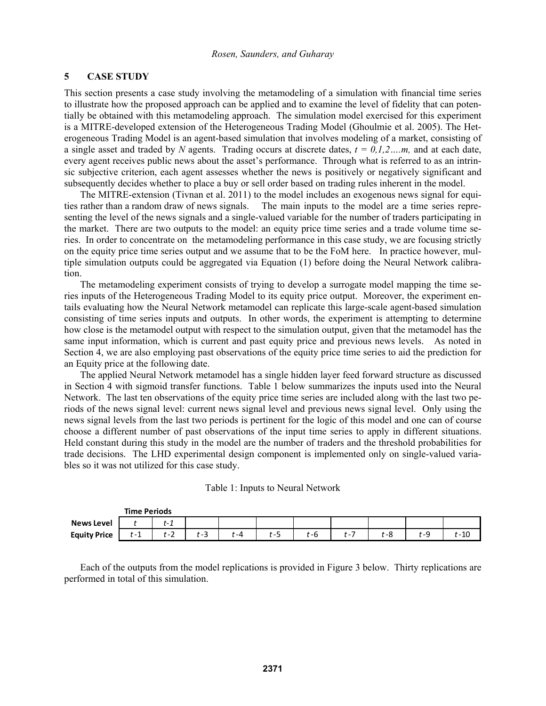## **5 CASE STUDY**

This section presents a case study involving the metamodeling of a simulation with financial time series to illustrate how the proposed approach can be applied and to examine the level of fidelity that can potentially be obtained with this metamodeling approach. The simulation model exercised for this experiment is a MITRE-developed extension of the Heterogeneous Trading Model (Ghoulmie et al. 2005). The Heterogeneous Trading Model is an agent-based simulation that involves modeling of a market, consisting of a single asset and traded by *N* agents. Trading occurs at discrete dates,  $t = 0, 1, 2, \dots, m$ , and at each date, every agent receives public news about the asset's performance. Through what is referred to as an intrinsic subjective criterion, each agent assesses whether the news is positively or negatively significant and subsequently decides whether to place a buy or sell order based on trading rules inherent in the model.

 The MITRE-extension (Tivnan et al. 2011) to the model includes an exogenous news signal for equities rather than a random draw of news signals. The main inputs to the model are a time series representing the level of the news signals and a single-valued variable for the number of traders participating in the market. There are two outputs to the model: an equity price time series and a trade volume time series. In order to concentrate on the metamodeling performance in this case study, we are focusing strictly on the equity price time series output and we assume that to be the FoM here. In practice however, multiple simulation outputs could be aggregated via Equation (1) before doing the Neural Network calibration.

 The metamodeling experiment consists of trying to develop a surrogate model mapping the time series inputs of the Heterogeneous Trading Model to its equity price output. Moreover, the experiment entails evaluating how the Neural Network metamodel can replicate this large-scale agent-based simulation consisting of time series inputs and outputs. In other words, the experiment is attempting to determine how close is the metamodel output with respect to the simulation output, given that the metamodel has the same input information, which is current and past equity price and previous news levels. As noted in Section 4, we are also employing past observations of the equity price time series to aid the prediction for an Equity price at the following date.

 The applied Neural Network metamodel has a single hidden layer feed forward structure as discussed in Section 4 with sigmoid transfer functions. Table 1 below summarizes the inputs used into the Neural Network. The last ten observations of the equity price time series are included along with the last two periods of the news signal level: current news signal level and previous news signal level. Only using the news signal levels from the last two periods is pertinent for the logic of this model and one can of course choose a different number of past observations of the input time series to apply in different situations. Held constant during this study in the model are the number of traders and the threshold probabilities for trade decisions. The LHD experimental design component is implemented only on single-valued variables so it was not utilized for this case study.

Table 1: Inputs to Neural Network

|                     | <b>Time Periods</b> |      |       |      |  |      |                          |       |     |       |
|---------------------|---------------------|------|-------|------|--|------|--------------------------|-------|-----|-------|
| <b>News Level</b>   |                     | -    |       |      |  |      |                          |       |     |       |
| <b>Equity Price</b> | t - 1<br>ີ້         | *-2. | t - 3 | t -4 |  | t -6 | $\overline{\phantom{a}}$ | t - 8 | 1-9 | $-10$ |

Each of the outputs from the model replications is provided in Figure 3 below. Thirty replications are performed in total of this simulation.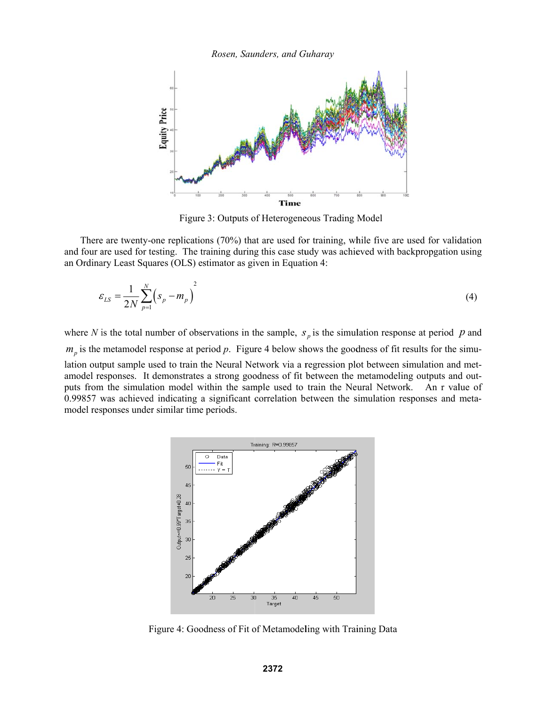Rosen, Saunders, and Guharay



Figure 3: Outputs of Heterogeneous Trading Model

There are twenty-one replications (70%) that are used for training, while five are used for validation and four are used for testing. The training during this case study was achieved with backpropgation using an Ordinary Least Squares (OLS) estimator as given in Equation 4:

$$
\varepsilon_{LS} = \frac{1}{2N} \sum_{p=1}^{N} \left( s_p - m_p \right)^2
$$
 (4)

where N is the total number of observations in the sample,  $s_p$  is the simulation response at period  $p$  and  $m_p$  is the metamodel response at period p. Figure 4 below shows the goodness of fit results for the simulation output sample used to train the Neural Network via a regression plot between simulation and metamodel responses. It demonstrates a strong goodness of fit between the metamodeling outputs and outputs from the simulation model within the sample used to train the Neural Network 0.99857 was achieved indicating a significant correlation between the simulation responses and metamodel responses under similar time periods. k. An r value of



Figure 4: Goodness of Fit of Metamodeling with Training Data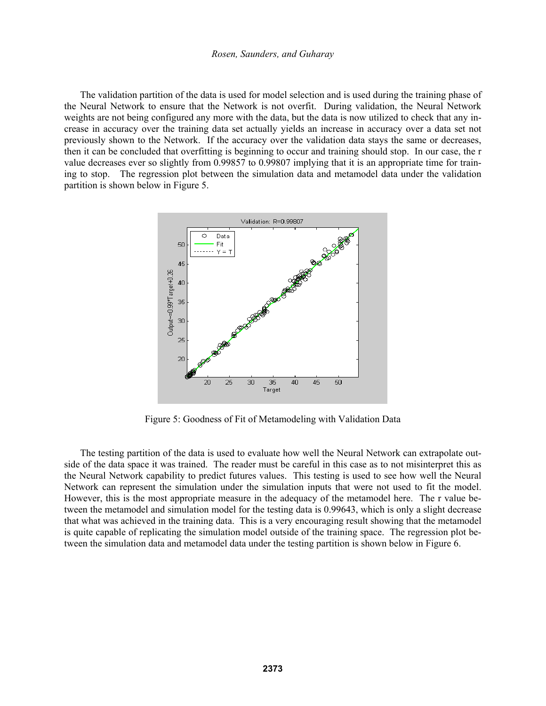The validation partition of the data is used for model selection and is used during the training phase of the Neural Network to ensure that the Network is not overfit. During validation, the Neural Network weights are not being configured any more with the data, but the data is now utilized to check that any increase in accuracy over the training data set actually yields an increase in accuracy over a data set not previously shown to the Network. If the accuracy over the validation data stays the same or decreases, then it can be concluded that overfitting is beginning to occur and training should stop. In our case, the r value decreases ever so slightly from 0.99857 to 0.99807 implying that it is an appropriate time for training to stop. The regression plot between the simulation data and metamodel data under the validation partition is shown below in Figure 5.



Figure 5: Goodness of Fit of Metamodeling with Validation Data

 The testing partition of the data is used to evaluate how well the Neural Network can extrapolate outside of the data space it was trained. The reader must be careful in this case as to not misinterpret this as the Neural Network capability to predict futures values. This testing is used to see how well the Neural Network can represent the simulation under the simulation inputs that were not used to fit the model. However, this is the most appropriate measure in the adequacy of the metamodel here. The r value between the metamodel and simulation model for the testing data is 0.99643, which is only a slight decrease that what was achieved in the training data. This is a very encouraging result showing that the metamodel is quite capable of replicating the simulation model outside of the training space. The regression plot between the simulation data and metamodel data under the testing partition is shown below in Figure 6.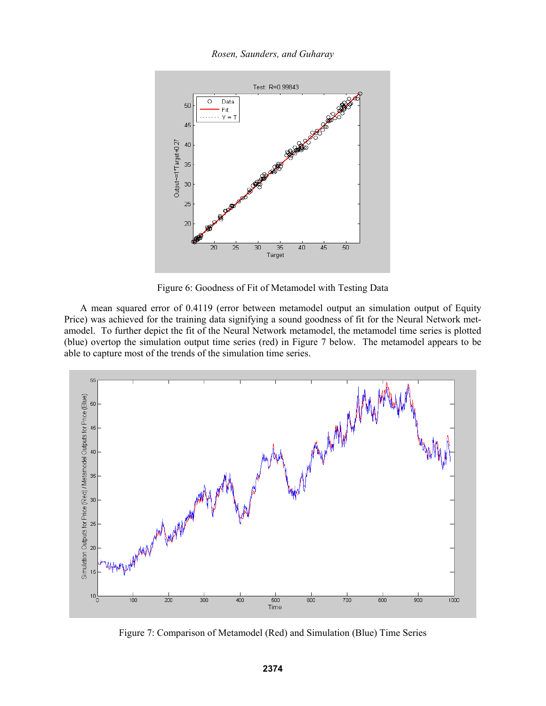*Rosen, Saunders, and Guharay* 



Figure 6: Goodness of Fit of Metamodel with Testing Data

 A mean squared error of 0.4119 (error between metamodel output an simulation output of Equity Price) was achieved for the training data signifying a sound goodness of fit for the Neural Network metamodel. To further depict the fit of the Neural Network metamodel, the metamodel time series is plotted (blue) overtop the simulation output time series (red) in Figure 7 below. The metamodel appears to be able to capture most of the trends of the simulation time series.



Figure 7: Comparison of Metamodel (Red) and Simulation (Blue) Time Series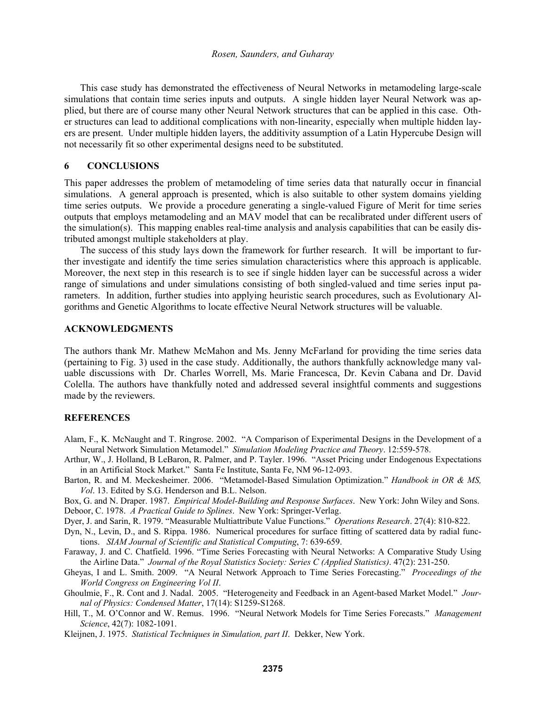This case study has demonstrated the effectiveness of Neural Networks in metamodeling large-scale simulations that contain time series inputs and outputs. A single hidden layer Neural Network was applied, but there are of course many other Neural Network structures that can be applied in this case. Other structures can lead to additional complications with non-linearity, especially when multiple hidden layers are present. Under multiple hidden layers, the additivity assumption of a Latin Hypercube Design will not necessarily fit so other experimental designs need to be substituted.

### **6 CONCLUSIONS**

This paper addresses the problem of metamodeling of time series data that naturally occur in financial simulations. A general approach is presented, which is also suitable to other system domains yielding time series outputs. We provide a procedure generating a single-valued Figure of Merit for time series outputs that employs metamodeling and an MAV model that can be recalibrated under different users of the simulation(s). This mapping enables real-time analysis and analysis capabilities that can be easily distributed amongst multiple stakeholders at play.

The success of this study lays down the framework for further research. It will be important to further investigate and identify the time series simulation characteristics where this approach is applicable. Moreover, the next step in this research is to see if single hidden layer can be successful across a wider range of simulations and under simulations consisting of both singled-valued and time series input parameters. In addition, further studies into applying heuristic search procedures, such as Evolutionary Algorithms and Genetic Algorithms to locate effective Neural Network structures will be valuable.

## **ACKNOWLEDGMENTS**

The authors thank Mr. Mathew McMahon and Ms. Jenny McFarland for providing the time series data (pertaining to Fig. 3) used in the case study. Additionally, the authors thankfully acknowledge many valuable discussions with Dr. Charles Worrell, Ms. Marie Francesca, Dr. Kevin Cabana and Dr. David Colella. The authors have thankfully noted and addressed several insightful comments and suggestions made by the reviewers.

## **REFERENCES**

- Alam, F., K. McNaught and T. Ringrose. 2002. "A Comparison of Experimental Designs in the Development of a Neural Network Simulation Metamodel." *Simulation Modeling Practice and Theory*. 12:559-578.
- Arthur, W., J. Holland, B LeBaron, R. Palmer, and P. Tayler. 1996. "Asset Pricing under Endogenous Expectations in an Artificial Stock Market." Santa Fe Institute, Santa Fe, NM 96-12-093.
- Barton, R. and M. Meckesheimer. 2006. "Metamodel-Based Simulation Optimization." *Handbook in OR & MS, Vol*. 13. Edited by S.G. Henderson and B.L. Nelson.
- Box, G. and N. Draper. 1987. *Empirical Model-Building and Response Surfaces*. New York: John Wiley and Sons. Deboor, C. 1978. *A Practical Guide to Splines*. New York: Springer-Verlag.
- Dyer, J. and Sarin, R. 1979. "Measurable Multiattribute Value Functions." *Operations Research*. 27(4): 810-822.
- Dyn, N., Levin, D., and S. Rippa. 1986. Numerical procedures for surface fitting of scattered data by radial functions. *SIAM Journal of Scientific and Statistical Computing*, 7: 639-659.
- Faraway, J. and C. Chatfield. 1996. "Time Series Forecasting with Neural Networks: A Comparative Study Using the Airline Data." *Journal of the Royal Statistics Society: Series C (Applied Statistics)*. 47(2): 231-250.
- Gheyas, I and L. Smith. 2009. "A Neural Network Approach to Time Series Forecasting." *Proceedings of the World Congress on Engineering Vol II*.
- Ghoulmie, F., R. Cont and J. Nadal. 2005. "Heterogeneity and Feedback in an Agent-based Market Model." *Journal of Physics: Condensed Matter*, 17(14): S1259-S1268.
- Hill, T., M. O'Connor and W. Remus. 1996. "Neural Network Models for Time Series Forecasts." *Management Science*, 42(7): 1082-1091.
- Kleijnen, J. 1975. *Statistical Techniques in Simulation, part II*. Dekker, New York.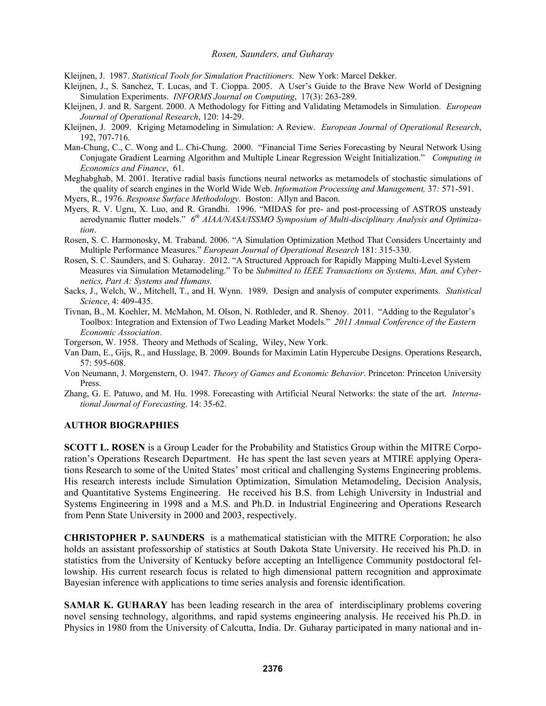Kleijnen, J. 1987. *Statistical Tools for Simulation Practitioners.* New York: Marcel Dekker.

- Kleijnen, J., S. Sanchez, T. Lucas, and T. Cioppa. 2005. A User's Guide to the Brave New World of Designing Simulation Experiments. *INFORMS Journal on Computing*, 17(3): 263-289.
- Kleijnen, J. and R. Sargent. 2000. A Methodology for Fitting and Validating Metamodels in Simulation. *European Journal of Operational Research*, 120: 14-29.
- Kleijnen, J. 2009. Kriging Metamodeling in Simulation: A Review. *European Journal of Operational Research*, 192, 707-716.
- Man-Chung, C., C. Wong and L. Chi-Chung. 2000. "Financial Time Series Forecasting by Neural Network Using Conjugate Gradient Learning Algorithm and Multiple Linear Regression Weight Initialization." *Computing in Economics and Finance*, 61.
- Meghabghab, M. 2001. Iterative radial basis functions neural networks as metamodels of stochastic simulations of the quality of search engines in the World Wide Web. *Information Processing and Management,* 37*:* 571-591.
- Myers, R., 1976. *Response Surface Methodology*. Boston: Allyn and Bacon.
- Myers, R. V. Ugru, X. Luo, and R. Grandhi. 1996. "MIDAS for pre- and post-processing of ASTROS unsteady aerodynamic flutter models." *6th AIAA/NASA/ISSMO Symposium of Multi-disciplinary Analysis and Optimization*.
- Rosen, S. C. Harmonosky, M. Traband. 2006. "A Simulation Optimization Method That Considers Uncertainty and Multiple Performance Measures." *European Journal of Operational Research* 181: 315-330.
- Rosen, S. C. Saunders, and S. Guharay. 2012. "A Structured Approach for Rapidly Mapping Multi-Level System Measures via Simulation Metamodeling." To be *Submitted to IEEE Transactions on Systems, Man, and Cybernetics, Part A: Systems and Humans.*
- Sacks, J., Welch, W., Mitchell, T., and H. Wynn. 1989. Design and analysis of computer experiments. *Statistical Science*, 4: 409-435.
- Tivnan, B., M. Koehler, M. McMahon, M. Olson, N. Rothleder, and R. Shenoy. 2011. "Adding to the Regulator's Toolbox: Integration and Extension of Two Leading Market Models." *2011 Annual Conference of the Eastern Economic Association*.
- Torgerson, W. 1958. Theory and Methods of Scaling, Wiley, New York.
- Van Dam, E., Gijs, R., and Husslage, B. 2009. Bounds for Maximin Latin Hypercube Designs. Operations Research, 57: 595-608.
- Von Neumann, J. Morgenstern, O. 1947. *Theory of Games and Economic Behavior*. Princeton: Princeton University Press.
- Zhang, G. E. Patuwo, and M. Hu. 1998. Forecasting with Artificial Neural Networks: the state of the art. *International Journal of Forecasting*. 14: 35-62.

### **AUTHOR BIOGRAPHIES**

**SCOTT L. ROSEN** is a Group Leader for the Probability and Statistics Group within the MITRE Corporation's Operations Research Department. He has spent the last seven years at MTIRE applying Operations Research to some of the United States' most critical and challenging Systems Engineering problems. His research interests include Simulation Optimization, Simulation Metamodeling, Decision Analysis, and Quantitative Systems Engineering. He received his B.S. from Lehigh University in Industrial and Systems Engineering in 1998 and a M.S. and Ph.D. in Industrial Engineering and Operations Research from Penn State University in 2000 and 2003, respectively.

**CHRISTOPHER P. SAUNDERS** is a mathematical statistician with the MITRE Corporation; he also holds an assistant professorship of statistics at South Dakota State University. He received his Ph.D. in statistics from the University of Kentucky before accepting an Intelligence Community postdoctoral fellowship. His current research focus is related to high dimensional pattern recognition and approximate Bayesian inference with applications to time series analysis and forensic identification.

**SAMAR K. GUHARAY** has been leading research in the area of interdisciplinary problems covering novel sensing technology, algorithms, and rapid systems engineering analysis. He received his Ph.D. in Physics in 1980 from the University of Calcutta, India. Dr. Guharay participated in many national and in-